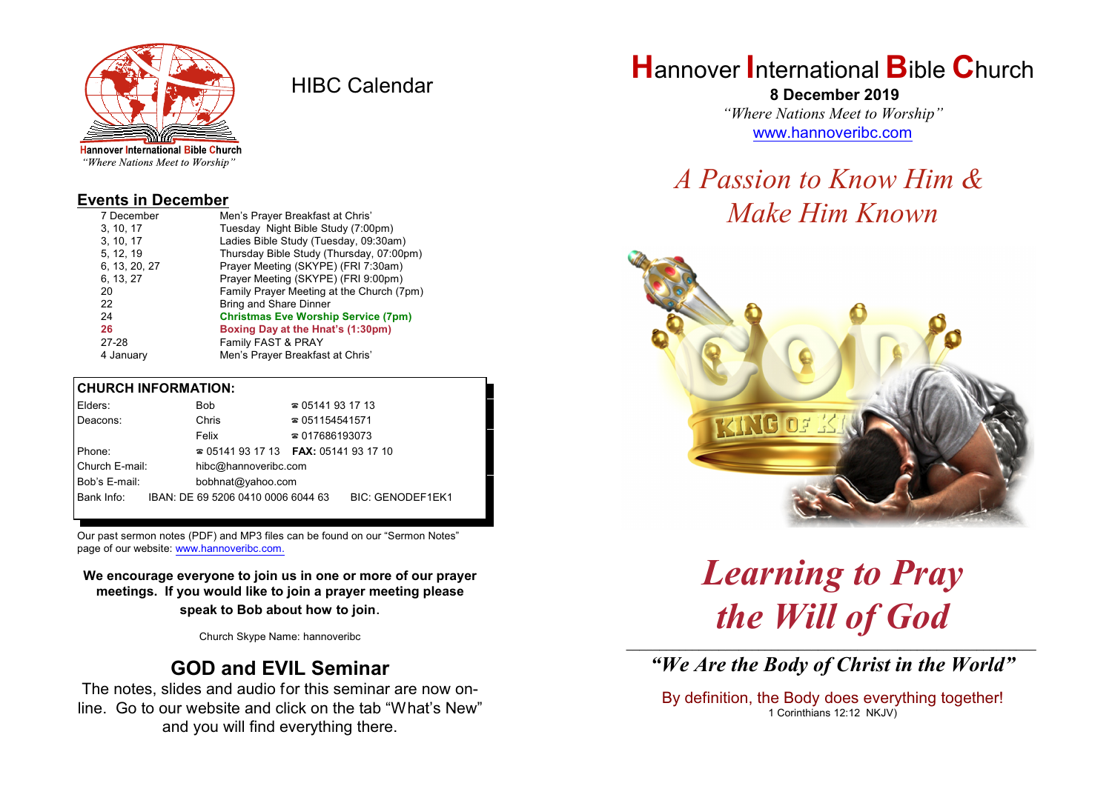

HIBC Calendar

"Where Nations Meet to Worship"

### **Events in December**

| 7 December    | Men's Prayer Breakfast at Chris'           |
|---------------|--------------------------------------------|
| 3, 10, 17     | Tuesday Night Bible Study (7:00pm)         |
| 3, 10, 17     | Ladies Bible Study (Tuesday, 09:30am)      |
| 5, 12, 19     | Thursday Bible Study (Thursday, 07:00pm)   |
| 6, 13, 20, 27 | Prayer Meeting (SKYPE) (FRI 7:30am)        |
| 6, 13, 27     | Prayer Meeting (SKYPE) (FRI 9:00pm)        |
| 20            | Family Prayer Meeting at the Church (7pm)  |
| 22            | <b>Bring and Share Dinner</b>              |
| 24            | <b>Christmas Eve Worship Service (7pm)</b> |
| 26            | Boxing Day at the Hnat's (1:30pm)          |
| 27-28         | Family FAST & PRAY                         |
| 4 January     | Men's Prayer Breakfast at Chris'           |

#### **CHURCH INFORMATION:**

| Elders:        |  | Bob                                      | $\approx 05141931713$  |                         |
|----------------|--|------------------------------------------|------------------------|-------------------------|
| Deacons:       |  | Chris                                    | $\approx 051154541571$ |                         |
|                |  | Felix                                    | $\approx 017686193073$ |                         |
| Phone:         |  | $\approx 05141931713$ FAX: 0514193 17 10 |                        |                         |
| Church E-mail: |  | hibc@hannoveribc.com                     |                        |                         |
| Bob's E-mail:  |  | bobhnat@yahoo.com                        |                        |                         |
| Bank Info:     |  | IBAN: DE 69 5206 0410 0006 6044 63       |                        | <b>BIC: GENODEF1EK1</b> |
|                |  |                                          |                        |                         |

Our past sermon notes (PDF) and MP3 files can be found on our "Sermon Notes" page of our website: [www.hannoveribc.com.](http://www.hannoveribc.com.)

**We encourage everyone to join us in one or more of our prayer meetings. If you would like to join a prayer meeting please speak to Bob about how to join**.

Church Skype Name: hannoveribc

## **GOD and EVIL Seminar**

The notes, slides and audio for this seminar are now online. Go to our website and click on the tab "What's New" and you will find everything there.

# **H**annover **I**nternational **B**ible **C**hurch

 **8 December 2019** *"Where Nations Meet to Worship"* [www.hannoveribc.com](http://www.hannoveribc.com)

# *A Passion to Know Him & Make Him Known*



## *Learning to Pray the Will of God* \_\_\_\_\_\_\_\_\_\_\_\_\_\_\_\_\_\_\_\_\_\_\_\_\_\_\_\_\_\_\_\_\_\_\_\_\_\_\_\_\_\_\_\_\_\_\_\_\_\_\_\_\_\_\_\_\_\_\_\_\_\_

*"We Are the Body of Christ in the World"*

By definition, the Body does everything together! 1 Corinthians 12:12 NKJV)